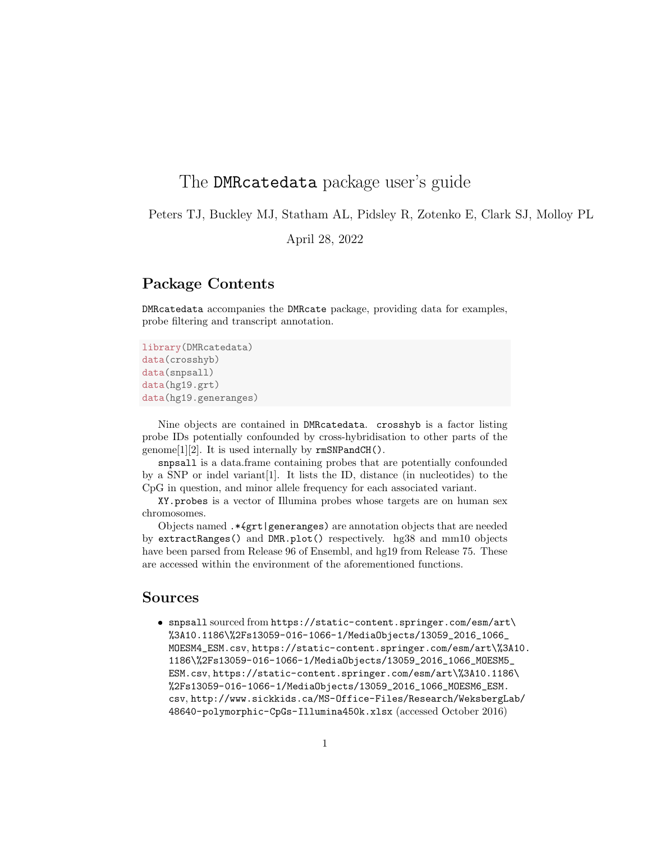## The DMRcatedata package user's guide

Peters TJ, Buckley MJ, Statham AL, Pidsley R, Zotenko E, Clark SJ, Molloy PL

April 28, 2022

## Package Contents

DMRcatedata accompanies the DMRcate package, providing data for examples, probe filtering and transcript annotation.

```
library(DMRcatedata)
data(crosshyb)
data(snpsall)
data(hg19.grt)
data(hg19.generanges)
```
Nine objects are contained in DMRcatedata. crosshyb is a factor listing probe IDs potentially confounded by cross-hybridisation to other parts of the genome $[1][2]$ . It is used internally by  $\texttt{rmSNPandCH}()$ .

snpsall is a data.frame containing probes that are potentially confounded by a SNP or indel variant[1]. It lists the ID, distance (in nucleotides) to the CpG in question, and minor allele frequency for each associated variant.

XY.probes is a vector of Illumina probes whose targets are on human sex chromosomes.

Objects named .\* {grt | generanges) are annotation objects that are needed by extractRanges() and DMR.plot() respectively. hg38 and mm10 objects have been parsed from Release 96 of Ensembl, and hg19 from Release 75. These are accessed within the environment of the aforementioned functions.

## Sources

 snpsall sourced from https://static-content.springer.com/esm/art\ %3A10.1186\%2Fs13059-016-1066-1/MediaObjects/13059\_2016\_1066\_ MOESM4\_ESM.csv, https://static-content.springer.com/esm/art\%3A10. 1186\%2Fs13059-016-1066-1/MediaObjects/13059\_2016\_1066\_MOESM5\_ ESM.csv, https://static-content.springer.com/esm/art\%3A10.1186\ %2Fs13059-016-1066-1/MediaObjects/13059\_2016\_1066\_MOESM6\_ESM. csv, http://www.sickkids.ca/MS-Office-Files/Research/WeksbergLab/ 48640-polymorphic-CpGs-Illumina450k.xlsx (accessed October 2016)